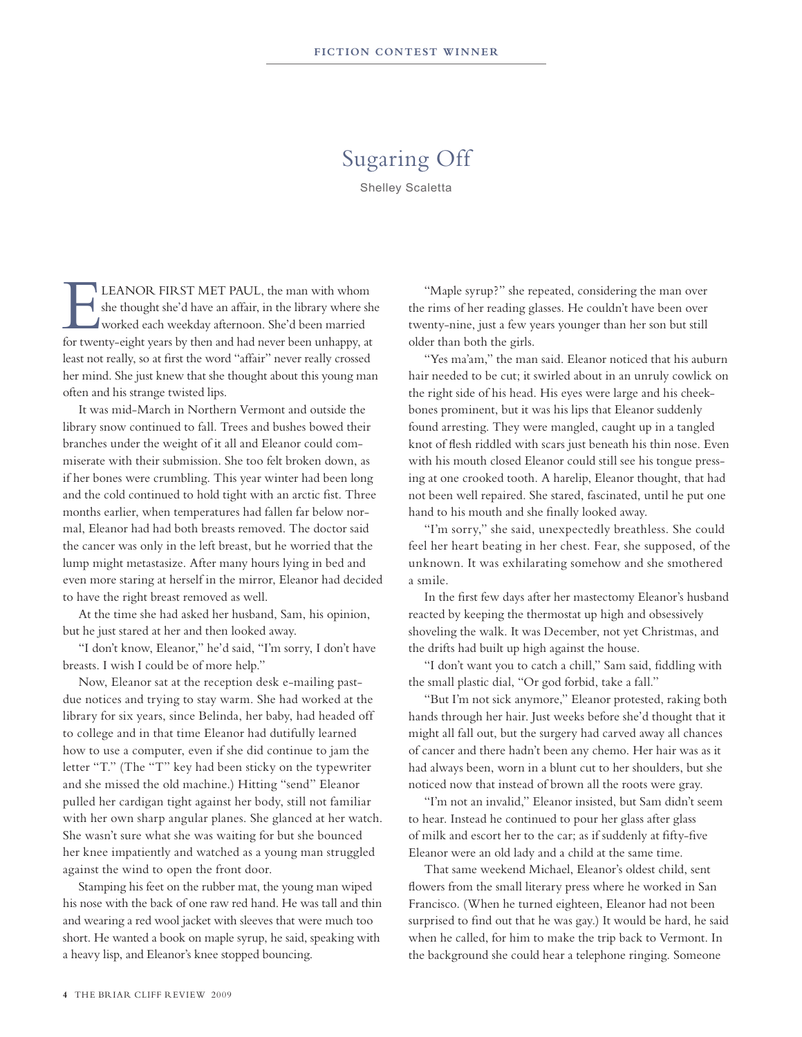## Sugaring Off

Shelley Scaletta

LEANOR FIRST MET PAUL, the man with whom<br>she thought she'd have an affair, in the library where sh<br>worked each weekday afternoon. She'd been married<br>for twenty, eight years by then and had never been unbanny at she thought she'd have an affair, in the library where she worked each weekday afternoon. She'd been married for twenty-eight years by then and had never been unhappy, at least not really, so at first the word "affair" never really crossed her mind. She just knew that she thought about this young man often and his strange twisted lips.

 It was mid-March in Northern Vermont and outside the library snow continued to fall. Trees and bushes bowed their branches under the weight of it all and Eleanor could commiserate with their submission. She too felt broken down, as if her bones were crumbling. This year winter had been long and the cold continued to hold tight with an arctic fist. Three months earlier, when temperatures had fallen far below normal, Eleanor had had both breasts removed. The doctor said the cancer was only in the left breast, but he worried that the lump might metastasize. After many hours lying in bed and even more staring at herself in the mirror, Eleanor had decided to have the right breast removed as well.

 At the time she had asked her husband, Sam, his opinion, but he just stared at her and then looked away.

"I don't know, Eleanor," he'd said, "I'm sorry, I don't have breasts. I wish I could be of more help."

 Now, Eleanor sat at the reception desk e-mailing pastdue notices and trying to stay warm. She had worked at the library for six years, since Belinda, her baby, had headed off to college and in that time Eleanor had dutifully learned how to use a computer, even if she did continue to jam the letter "T." (The "T" key had been sticky on the typewriter and she missed the old machine.) Hitting "send" Eleanor pulled her cardigan tight against her body, still not familiar with her own sharp angular planes. She glanced at her watch. She wasn't sure what she was waiting for but she bounced her knee impatiently and watched as a young man struggled against the wind to open the front door.

Stamping his feet on the rubber mat, the young man wiped his nose with the back of one raw red hand. He was tall and thin and wearing a red wool jacket with sleeves that were much too short. He wanted a book on maple syrup, he said, speaking with a heavy lisp, and Eleanor's knee stopped bouncing.

"Maple syrup?" she repeated, considering the man over the rims of her reading glasses. He couldn't have been over twenty-nine, just a few years younger than her son but still older than both the girls.

"Yes ma'am," the man said. Eleanor noticed that his auburn hair needed to be cut; it swirled about in an unruly cowlick on the right side of his head. His eyes were large and his cheekbones prominent, but it was his lips that Eleanor suddenly found arresting. They were mangled, caught up in a tangled knot of flesh riddled with scars just beneath his thin nose. Even with his mouth closed Eleanor could still see his tongue pressing at one crooked tooth. A harelip, Eleanor thought, that had not been well repaired. She stared, fascinated, until he put one hand to his mouth and she finally looked away.

"I'm sorry," she said, unexpectedly breathless. She could feel her heart beating in her chest. Fear, she supposed, of the unknown. It was exhilarating somehow and she smothered a smile.

 In the first few days after her mastectomy Eleanor's husband reacted by keeping the thermostat up high and obsessively shoveling the walk. It was December, not yet Christmas, and the drifts had built up high against the house.

"I don't want you to catch a chill," Sam said, fiddling with the small plastic dial, "Or god forbid, take a fall."

"But I'm not sick anymore," Eleanor protested, raking both hands through her hair. Just weeks before she'd thought that it might all fall out, but the surgery had carved away all chances of cancer and there hadn't been any chemo. Her hair was as it had always been, worn in a blunt cut to her shoulders, but she noticed now that instead of brown all the roots were gray.

"I'm not an invalid," Eleanor insisted, but Sam didn't seem to hear. Instead he continued to pour her glass after glass of milk and escort her to the car; as if suddenly at fifty-five Eleanor were an old lady and a child at the same time.

That same weekend Michael, Eleanor's oldest child, sent flowers from the small literary press where he worked in San Francisco. (When he turned eighteen, Eleanor had not been surprised to find out that he was gay.) It would be hard, he said when he called, for him to make the trip back to Vermont. In the background she could hear a telephone ringing. Someone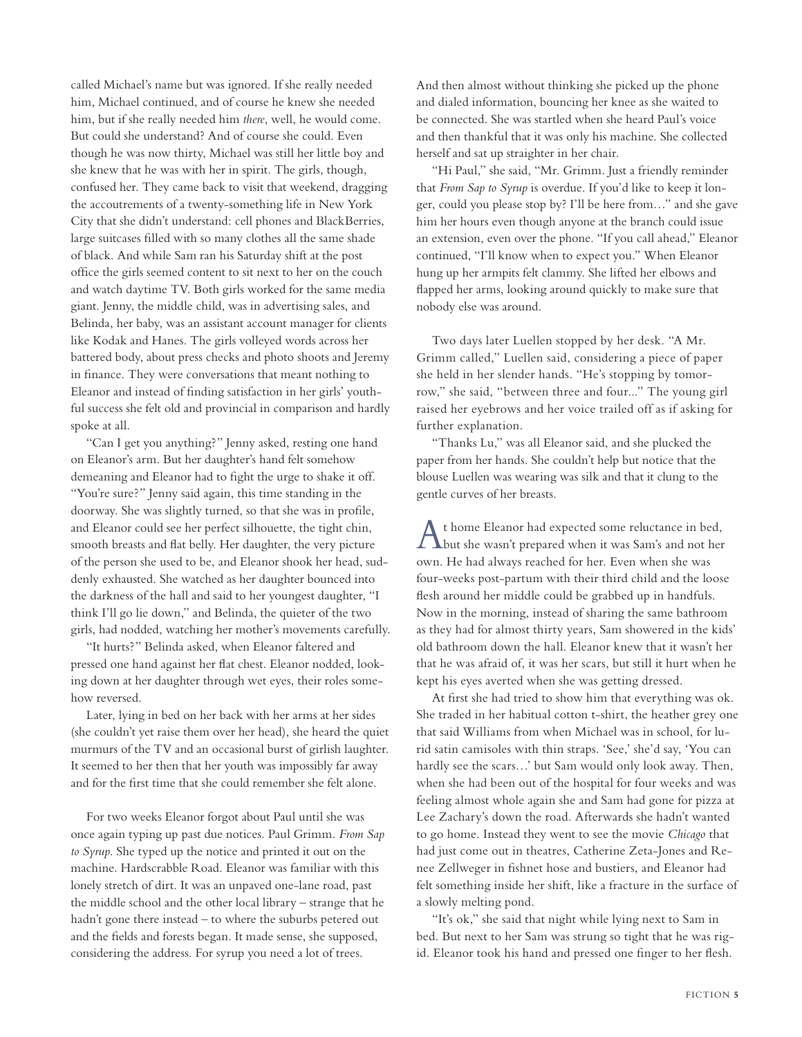called Michael's name but was ignored. If she really needed him, Michael continued, and of course he knew she needed him, but if she really needed him *there*, well, he would come. But could she understand? And of course she could. Even though he was now thirty, Michael was still her little boy and she knew that he was with her in spirit. The girls, though, confused her. They came back to visit that weekend, dragging the accoutrements of a twenty-something life in New York City that she didn't understand: cell phones and BlackBerries, large suitcases filled with so many clothes all the same shade of black. And while Sam ran his Saturday shift at the post office the girls seemed content to sit next to her on the couch and watch daytime TV. Both girls worked for the same media giant. Jenny, the middle child, was in advertising sales, and Belinda, her baby, was an assistant account manager for clients like Kodak and Hanes. The girls volleyed words across her battered body, about press checks and photo shoots and Jeremy in finance. They were conversations that meant nothing to Eleanor and instead of finding satisfaction in her girls' youthful success she felt old and provincial in comparison and hardly spoke at all.

"Can I get you anything?" Jenny asked, resting one hand on Eleanor's arm. But her daughter's hand felt somehow demeaning and Eleanor had to fight the urge to shake it off. "You're sure?" Jenny said again, this time standing in the doorway. She was slightly turned, so that she was in profile, and Eleanor could see her perfect silhouette, the tight chin, smooth breasts and flat belly. Her daughter, the very picture of the person she used to be, and Eleanor shook her head, suddenly exhausted. She watched as her daughter bounced into the darkness of the hall and said to her youngest daughter, "I think I'll go lie down," and Belinda, the quieter of the two girls, had nodded, watching her mother's movements carefully.

"It hurts?" Belinda asked, when Eleanor faltered and pressed one hand against her flat chest. Eleanor nodded, looking down at her daughter through wet eyes, their roles somehow reversed.

 Later, lying in bed on her back with her arms at her sides (she couldn't yet raise them over her head), she heard the quiet murmurs of the TV and an occasional burst of girlish laughter. It seemed to her then that her youth was impossibly far away and for the first time that she could remember she felt alone.

 For two weeks Eleanor forgot about Paul until she was once again typing up past due notices. Paul Grimm. *From Sap to Syrup*. She typed up the notice and printed it out on the machine. Hardscrabble Road. Eleanor was familiar with this lonely stretch of dirt. It was an unpaved one-lane road, past the middle school and the other local library – strange that he hadn't gone there instead – to where the suburbs petered out and the fields and forests began. It made sense, she supposed, considering the address. For syrup you need a lot of trees.

And then almost without thinking she picked up the phone and dialed information, bouncing her knee as she waited to be connected. She was startled when she heard Paul's voice and then thankful that it was only his machine. She collected herself and sat up straighter in her chair.

"Hi Paul," she said, "Mr. Grimm. Just a friendly reminder that *From Sap to Syrup* is overdue. If you'd like to keep it longer, could you please stop by? I'll be here from…" and she gave him her hours even though anyone at the branch could issue an extension, even over the phone. "If you call ahead," Eleanor continued, "I'll know when to expect you." When Eleanor hung up her armpits felt clammy. She lifted her elbows and flapped her arms, looking around quickly to make sure that nobody else was around.

Two days later Luellen stopped by her desk. "A Mr. Grimm called," Luellen said, considering a piece of paper she held in her slender hands. "He's stopping by tomorrow," she said, "between three and four..." The young girl raised her eyebrows and her voice trailed off as if asking for further explanation.

"Thanks Lu," was all Eleanor said, and she plucked the paper from her hands. She couldn't help but notice that the blouse Luellen was wearing was silk and that it clung to the gentle curves of her breasts.

At home Eleanor had expected some reluctance in bed, but she wasn't prepared when it was Sam's and not her own. He had always reached for her. Even when she was four-weeks post-partum with their third child and the loose flesh around her middle could be grabbed up in handfuls. Now in the morning, instead of sharing the same bathroom as they had for almost thirty years, Sam showered in the kids' old bathroom down the hall. Eleanor knew that it wasn't her that he was afraid of, it was her scars, but still it hurt when he kept his eyes averted when she was getting dressed.

 At first she had tried to show him that everything was ok. She traded in her habitual cotton t-shirt, the heather grey one that said Williams from when Michael was in school, for lurid satin camisoles with thin straps. 'See,' she'd say, 'You can hardly see the scars…' but Sam would only look away. Then, when she had been out of the hospital for four weeks and was feeling almost whole again she and Sam had gone for pizza at Lee Zachary's down the road. Afterwards she hadn't wanted to go home. Instead they went to see the movie *Chicago* that had just come out in theatres, Catherine Zeta-Jones and Renee Zellweger in fishnet hose and bustiers, and Eleanor had felt something inside her shift, like a fracture in the surface of a slowly melting pond.

"It's ok," she said that night while lying next to Sam in bed. But next to her Sam was strung so tight that he was rigid. Eleanor took his hand and pressed one finger to her flesh.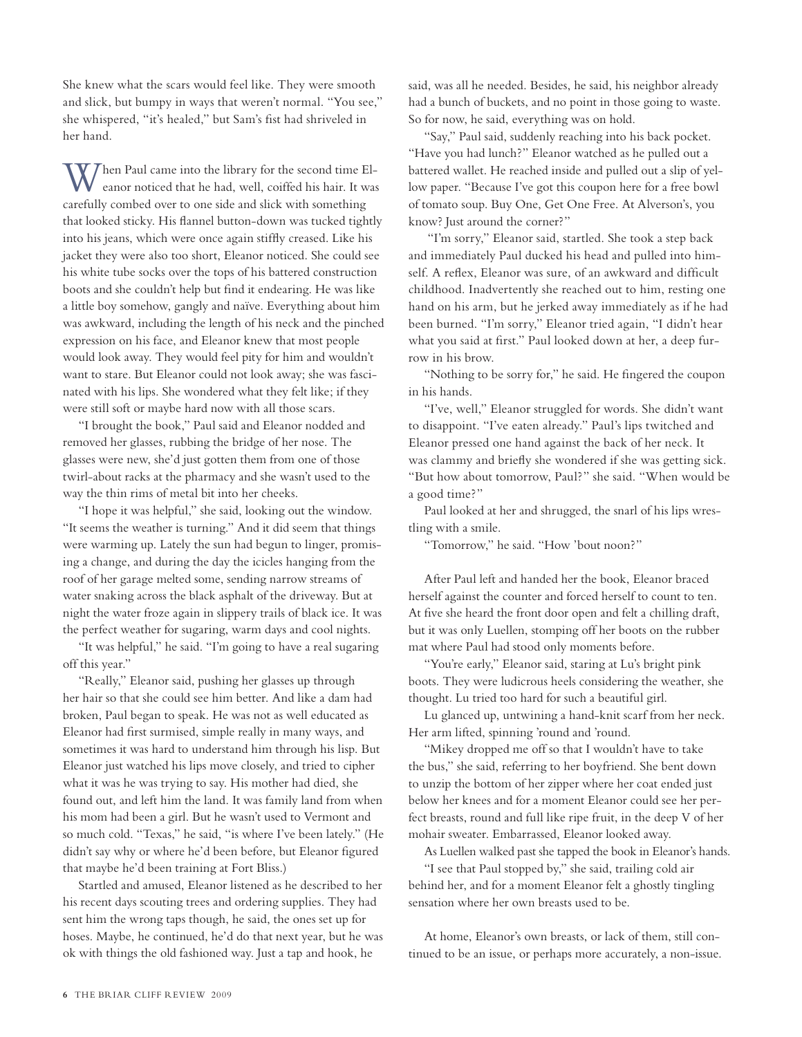She knew what the scars would feel like. They were smooth and slick, but bumpy in ways that weren't normal. "You see," she whispered, "it's healed," but Sam's fist had shriveled in her hand.

When Paul came into the library for the second time El-eanor noticed that he had, well, coiffed his hair. It was carefully combed over to one side and slick with something that looked sticky. His flannel button-down was tucked tightly into his jeans, which were once again stiffly creased. Like his jacket they were also too short, Eleanor noticed. She could see his white tube socks over the tops of his battered construction boots and she couldn't help but find it endearing. He was like a little boy somehow, gangly and naïve. Everything about him was awkward, including the length of his neck and the pinched expression on his face, and Eleanor knew that most people would look away. They would feel pity for him and wouldn't want to stare. But Eleanor could not look away; she was fascinated with his lips. She wondered what they felt like; if they were still soft or maybe hard now with all those scars.

"I brought the book," Paul said and Eleanor nodded and removed her glasses, rubbing the bridge of her nose. The glasses were new, she'd just gotten them from one of those twirl-about racks at the pharmacy and she wasn't used to the way the thin rims of metal bit into her cheeks.

"I hope it was helpful," she said, looking out the window. "It seems the weather is turning." And it did seem that things were warming up. Lately the sun had begun to linger, promising a change, and during the day the icicles hanging from the roof of her garage melted some, sending narrow streams of water snaking across the black asphalt of the driveway. But at night the water froze again in slippery trails of black ice. It was the perfect weather for sugaring, warm days and cool nights.

"It was helpful," he said. "I'm going to have a real sugaring off this year."

"Really," Eleanor said, pushing her glasses up through her hair so that she could see him better. And like a dam had broken, Paul began to speak. He was not as well educated as Eleanor had first surmised, simple really in many ways, and sometimes it was hard to understand him through his lisp. But Eleanor just watched his lips move closely, and tried to cipher what it was he was trying to say. His mother had died, she found out, and left him the land. It was family land from when his mom had been a girl. But he wasn't used to Vermont and so much cold. "Texas," he said, "is where I've been lately." (He didn't say why or where he'd been before, but Eleanor figured that maybe he'd been training at Fort Bliss.)

Startled and amused, Eleanor listened as he described to her his recent days scouting trees and ordering supplies. They had sent him the wrong taps though, he said, the ones set up for hoses. Maybe, he continued, he'd do that next year, but he was ok with things the old fashioned way. Just a tap and hook, he

said, was all he needed. Besides, he said, his neighbor already had a bunch of buckets, and no point in those going to waste. So for now, he said, everything was on hold.

"Say," Paul said, suddenly reaching into his back pocket. "Have you had lunch?" Eleanor watched as he pulled out a battered wallet. He reached inside and pulled out a slip of yellow paper. "Because I've got this coupon here for a free bowl of tomato soup. Buy One, Get One Free. At Alverson's, you know? Just around the corner?"

 "I'm sorry," Eleanor said, startled. She took a step back and immediately Paul ducked his head and pulled into himself. A reflex, Eleanor was sure, of an awkward and difficult childhood. Inadvertently she reached out to him, resting one hand on his arm, but he jerked away immediately as if he had been burned. "I'm sorry," Eleanor tried again, "I didn't hear what you said at first." Paul looked down at her, a deep furrow in his brow.

"Nothing to be sorry for," he said. He fingered the coupon in his hands.

"I've, well," Eleanor struggled for words. She didn't want to disappoint. "I've eaten already." Paul's lips twitched and Eleanor pressed one hand against the back of her neck. It was clammy and briefly she wondered if she was getting sick. "But how about tomorrow, Paul?" she said. "When would be a good time?"

Paul looked at her and shrugged, the snarl of his lips wrestling with a smile.

"Tomorrow," he said. "How 'bout noon?"

 After Paul left and handed her the book, Eleanor braced herself against the counter and forced herself to count to ten. At five she heard the front door open and felt a chilling draft, but it was only Luellen, stomping off her boots on the rubber mat where Paul had stood only moments before.

"You're early," Eleanor said, staring at Lu's bright pink boots. They were ludicrous heels considering the weather, she thought. Lu tried too hard for such a beautiful girl.

 Lu glanced up, untwining a hand-knit scarf from her neck. Her arm lifted, spinning 'round and 'round.

"Mikey dropped me off so that I wouldn't have to take the bus," she said, referring to her boyfriend. She bent down to unzip the bottom of her zipper where her coat ended just below her knees and for a moment Eleanor could see her perfect breasts, round and full like ripe fruit, in the deep V of her mohair sweater. Embarrassed, Eleanor looked away.

As Luellen walked past she tapped the book in Eleanor's hands.

"I see that Paul stopped by," she said, trailing cold air behind her, and for a moment Eleanor felt a ghostly tingling sensation where her own breasts used to be.

 At home, Eleanor's own breasts, or lack of them, still continued to be an issue, or perhaps more accurately, a non-issue.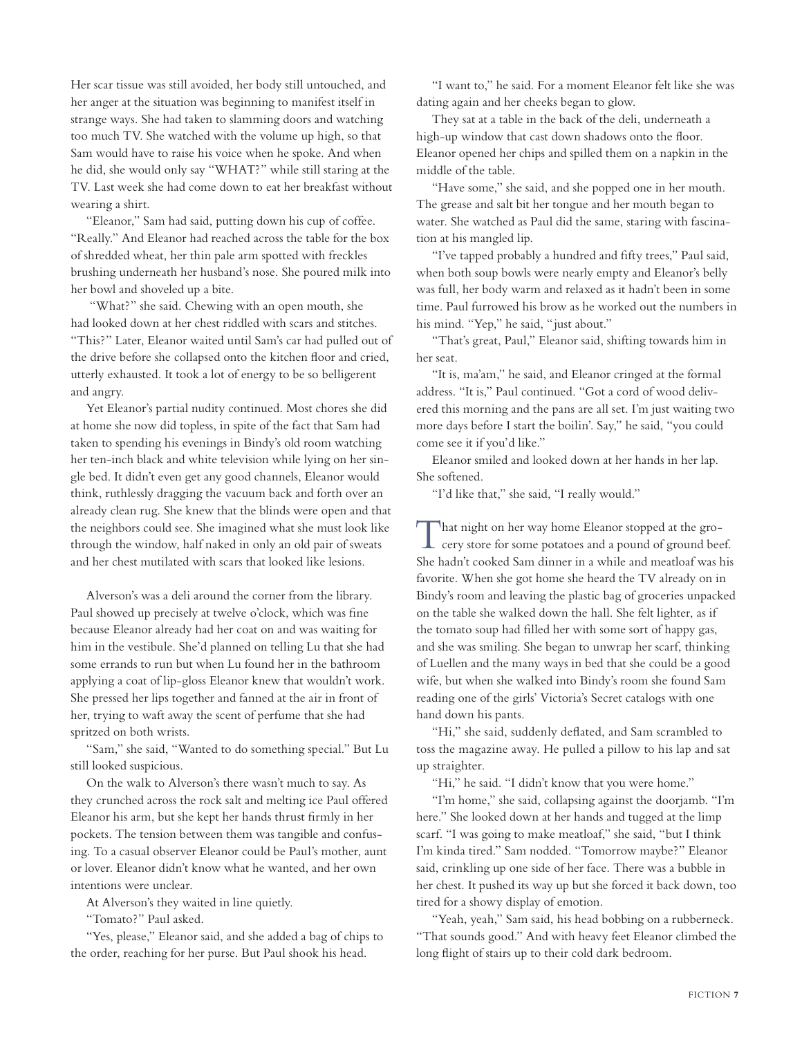Her scar tissue was still avoided, her body still untouched, and her anger at the situation was beginning to manifest itself in strange ways. She had taken to slamming doors and watching too much TV. She watched with the volume up high, so that Sam would have to raise his voice when he spoke. And when he did, she would only say "WHAT?" while still staring at the TV. Last week she had come down to eat her breakfast without wearing a shirt.

"Eleanor," Sam had said, putting down his cup of coffee. "Really." And Eleanor had reached across the table for the box of shredded wheat, her thin pale arm spotted with freckles brushing underneath her husband's nose. She poured milk into her bowl and shoveled up a bite.

 "What?" she said. Chewing with an open mouth, she had looked down at her chest riddled with scars and stitches. "This?" Later, Eleanor waited until Sam's car had pulled out of the drive before she collapsed onto the kitchen floor and cried, utterly exhausted. It took a lot of energy to be so belligerent and angry.

Yet Eleanor's partial nudity continued. Most chores she did at home she now did topless, in spite of the fact that Sam had taken to spending his evenings in Bindy's old room watching her ten-inch black and white television while lying on her single bed. It didn't even get any good channels, Eleanor would think, ruthlessly dragging the vacuum back and forth over an already clean rug. She knew that the blinds were open and that the neighbors could see. She imagined what she must look like through the window, half naked in only an old pair of sweats and her chest mutilated with scars that looked like lesions.

 Alverson's was a deli around the corner from the library. Paul showed up precisely at twelve o'clock, which was fine because Eleanor already had her coat on and was waiting for him in the vestibule. She'd planned on telling Lu that she had some errands to run but when Lu found her in the bathroom applying a coat of lip-gloss Eleanor knew that wouldn't work. She pressed her lips together and fanned at the air in front of her, trying to waft away the scent of perfume that she had spritzed on both wrists.

"Sam," she said, "Wanted to do something special." But Lu still looked suspicious.

On the walk to Alverson's there wasn't much to say. As they crunched across the rock salt and melting ice Paul offered Eleanor his arm, but she kept her hands thrust firmly in her pockets. The tension between them was tangible and confusing. To a casual observer Eleanor could be Paul's mother, aunt or lover. Eleanor didn't know what he wanted, and her own intentions were unclear.

At Alverson's they waited in line quietly.

"Tomato?" Paul asked.

"Yes, please," Eleanor said, and she added a bag of chips to the order, reaching for her purse. But Paul shook his head.

"I want to," he said. For a moment Eleanor felt like she was dating again and her cheeks began to glow.

They sat at a table in the back of the deli, underneath a high-up window that cast down shadows onto the floor. Eleanor opened her chips and spilled them on a napkin in the middle of the table.

"Have some," she said, and she popped one in her mouth. The grease and salt bit her tongue and her mouth began to water. She watched as Paul did the same, staring with fascination at his mangled lip.

"I've tapped probably a hundred and fifty trees," Paul said, when both soup bowls were nearly empty and Eleanor's belly was full, her body warm and relaxed as it hadn't been in some time. Paul furrowed his brow as he worked out the numbers in his mind. "Yep," he said, "just about."

"That's great, Paul," Eleanor said, shifting towards him in her seat.

"It is, ma'am," he said, and Eleanor cringed at the formal address. "It is," Paul continued. "Got a cord of wood delivered this morning and the pans are all set. I'm just waiting two more days before I start the boilin'. Say," he said, "you could come see it if you'd like."

 Eleanor smiled and looked down at her hands in her lap. She softened.

"I'd like that," she said, "I really would."

That night on her way home Eleanor stopped at the gro-cery store for some potatoes and a pound of ground beef. She hadn't cooked Sam dinner in a while and meatloaf was his favorite. When she got home she heard the TV already on in Bindy's room and leaving the plastic bag of groceries unpacked on the table she walked down the hall. She felt lighter, as if the tomato soup had filled her with some sort of happy gas, and she was smiling. She began to unwrap her scarf, thinking of Luellen and the many ways in bed that she could be a good wife, but when she walked into Bindy's room she found Sam reading one of the girls' Victoria's Secret catalogs with one hand down his pants.

"Hi," she said, suddenly deflated, and Sam scrambled to toss the magazine away. He pulled a pillow to his lap and sat up straighter.

"Hi," he said. "I didn't know that you were home."

"I'm home," she said, collapsing against the doorjamb. "I'm here." She looked down at her hands and tugged at the limp scarf. "I was going to make meatloaf," she said, "but I think I'm kinda tired." Sam nodded. "Tomorrow maybe?" Eleanor said, crinkling up one side of her face. There was a bubble in her chest. It pushed its way up but she forced it back down, too tired for a showy display of emotion.

"Yeah, yeah," Sam said, his head bobbing on a rubberneck. "That sounds good." And with heavy feet Eleanor climbed the long flight of stairs up to their cold dark bedroom.